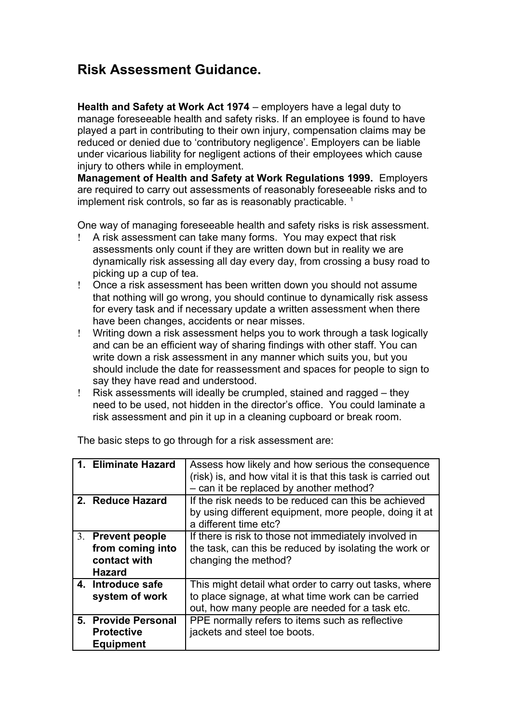## **Risk Assessment Guidance.**

**Health and Safety at Work Act 1974** – employers have a legal duty to manage foreseeable health and safety risks. If an employee is found to have played a part in contributing to their own injury, compensation claims may be reduced or denied due to 'contributory negligence'. Employers can be liable under vicarious liability for negligent actions of their employees which cause injury to others while in employment.

**Management of Health and Safety at Work Regulations 1999.** Employers are required to carry out assessments of reasonably foreseeable risks and to implement risk controls, so far as is reasonably practicable.<sup>[1](#page-2-0)</sup>

One way of managing foreseeable health and safety risks is risk assessment.

- A risk assessment can take many forms. You may expect that risk assessments only count if they are written down but in reality we are dynamically risk assessing all day every day, from crossing a busy road to picking up a cup of tea.
- Once a risk assessment has been written down you should not assume that nothing will go wrong, you should continue to dynamically risk assess for every task and if necessary update a written assessment when there have been changes, accidents or near misses.
- Writing down a risk assessment helps you to work through a task logically and can be an efficient way of sharing findings with other staff. You can write down a risk assessment in any manner which suits you, but you should include the date for reassessment and spaces for people to sign to say they have read and understood.
- Risk assessments will ideally be crumpled, stained and ragged they need to be used, not hidden in the director's office. You could laminate a risk assessment and pin it up in a cleaning cupboard or break room.

|                | 1. Eliminate Hazard   | Assess how likely and how serious the consequence            |
|----------------|-----------------------|--------------------------------------------------------------|
|                |                       | (risk) is, and how vital it is that this task is carried out |
|                |                       | - can it be replaced by another method?                      |
|                | 2. Reduce Hazard      | If the risk needs to be reduced can this be achieved         |
|                |                       | by using different equipment, more people, doing it at       |
|                |                       | a different time etc?                                        |
| 3 <sub>1</sub> | <b>Prevent people</b> | If there is risk to those not immediately involved in        |
|                | from coming into      | the task, can this be reduced by isolating the work or       |
|                | contact with          | changing the method?                                         |
|                | <b>Hazard</b>         |                                                              |
|                | 4. Introduce safe     | This might detail what order to carry out tasks, where       |
|                | system of work        | to place signage, at what time work can be carried           |
|                |                       | out, how many people are needed for a task etc.              |
|                | 5. Provide Personal   | PPE normally refers to items such as reflective              |
|                | <b>Protective</b>     | jackets and steel toe boots.                                 |
|                | <b>Equipment</b>      |                                                              |

The basic steps to go through for a risk assessment are: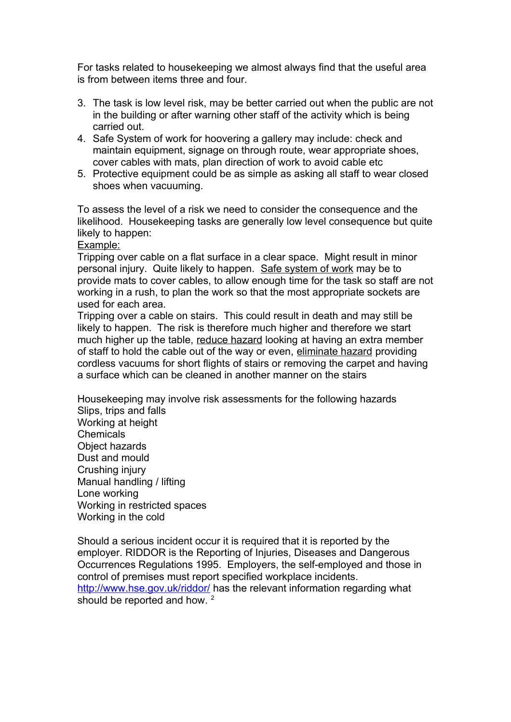For tasks related to housekeeping we almost always find that the useful area is from between items three and four.

- 3. The task is low level risk, may be better carried out when the public are not in the building or after warning other staff of the activity which is being carried out.
- 4. Safe System of work for hoovering a gallery may include: check and maintain equipment, signage on through route, wear appropriate shoes, cover cables with mats, plan direction of work to avoid cable etc
- 5. Protective equipment could be as simple as asking all staff to wear closed shoes when vacuuming.

To assess the level of a risk we need to consider the consequence and the likelihood. Housekeeping tasks are generally low level consequence but quite likely to happen:

Example:

Tripping over cable on a flat surface in a clear space. Might result in minor personal injury. Quite likely to happen. Safe system of work may be to provide mats to cover cables, to allow enough time for the task so staff are not working in a rush, to plan the work so that the most appropriate sockets are used for each area.

Tripping over a cable on stairs. This could result in death and may still be likely to happen. The risk is therefore much higher and therefore we start much higher up the table, reduce hazard looking at having an extra member of staff to hold the cable out of the way or even, eliminate hazard providing cordless vacuums for short flights of stairs or removing the carpet and having a surface which can be cleaned in another manner on the stairs

Housekeeping may involve risk assessments for the following hazards Slips, trips and falls Working at height **Chemicals** Object hazards Dust and mould Crushing injury Manual handling / lifting Lone working Working in restricted spaces Working in the cold

Should a serious incident occur it is required that it is reported by the employer. RIDDOR is the Reporting of Injuries, Diseases and Dangerous Occurrences Regulations 1995. Employers, the self-employed and those in control of premises must report specified workplace incidents. <http://www.hse.gov.uk/riddor/>has the relevant information regarding what should be reported and how. <sup>[2](#page-2-1)</sup>